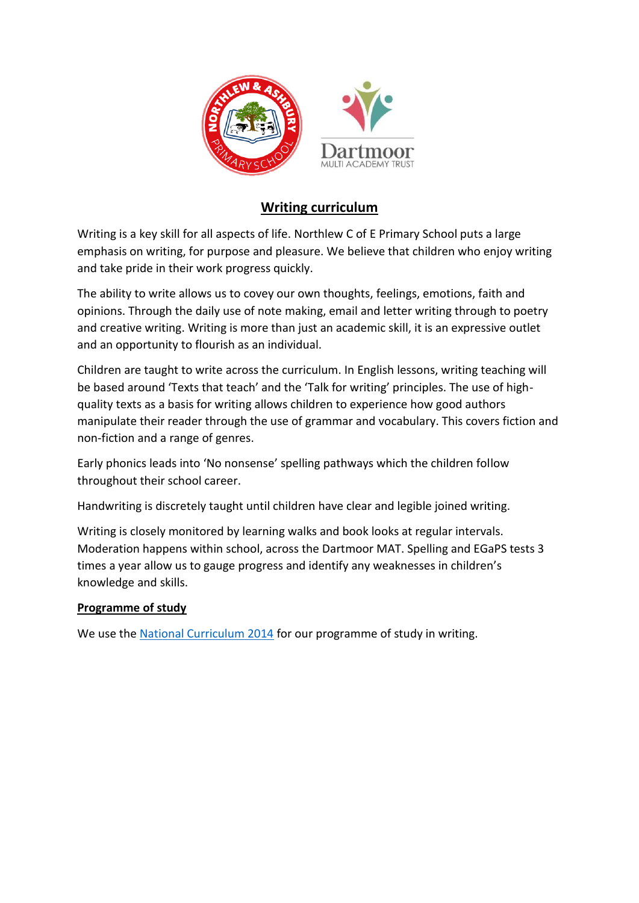

## **Writing curriculum**

Writing is a key skill for all aspects of life. Northlew C of E Primary School puts a large emphasis on writing, for purpose and pleasure. We believe that children who enjoy writing and take pride in their work progress quickly.

The ability to write allows us to covey our own thoughts, feelings, emotions, faith and opinions. Through the daily use of note making, email and letter writing through to poetry and creative writing. Writing is more than just an academic skill, it is an expressive outlet and an opportunity to flourish as an individual.

Children are taught to write across the curriculum. In English lessons, writing teaching will be based around 'Texts that teach' and the 'Talk for writing' principles. The use of highquality texts as a basis for writing allows children to experience how good authors manipulate their reader through the use of grammar and vocabulary. This covers fiction and non-fiction and a range of genres.

Early phonics leads into 'No nonsense' spelling pathways which the children follow throughout their school career.

Handwriting is discretely taught until children have clear and legible joined writing.

Writing is closely monitored by learning walks and book looks at regular intervals. Moderation happens within school, across the Dartmoor MAT. Spelling and EGaPS tests 3 times a year allow us to gauge progress and identify any weaknesses in children's knowledge and skills.

## **Programme of study**

We use the [National Curriculum 2014](https://assets.publishing.service.gov.uk/government/uploads/system/uploads/attachment_data/file/335186/PRIMARY_national_curriculum_-_English_220714.pdf) for our programme of study in writing.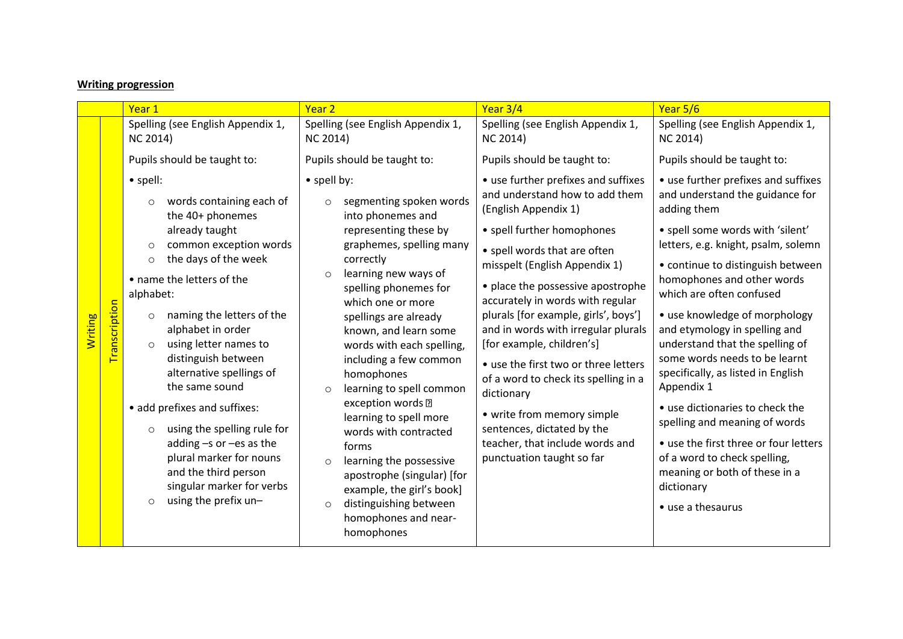## **Writing progression**

|                      |             | Year 1                                                                                                                                                                                                                                                                                                                                                                                                                                                                                                                                                                                                        | Year <sub>2</sub>                                                                                                                                                                                                                                                                                                                                                                                                                                                                                                                                                                                                                                    | Year 3/4                                                                                                                                                                                                                                                                                                                                                                                                                                                                                                                                                                                                    | Year 5/6                                                                                                                                                                                                                                                                                                                                                                                                                                                                                                                                                                                                                                                                   |
|----------------------|-------------|---------------------------------------------------------------------------------------------------------------------------------------------------------------------------------------------------------------------------------------------------------------------------------------------------------------------------------------------------------------------------------------------------------------------------------------------------------------------------------------------------------------------------------------------------------------------------------------------------------------|------------------------------------------------------------------------------------------------------------------------------------------------------------------------------------------------------------------------------------------------------------------------------------------------------------------------------------------------------------------------------------------------------------------------------------------------------------------------------------------------------------------------------------------------------------------------------------------------------------------------------------------------------|-------------------------------------------------------------------------------------------------------------------------------------------------------------------------------------------------------------------------------------------------------------------------------------------------------------------------------------------------------------------------------------------------------------------------------------------------------------------------------------------------------------------------------------------------------------------------------------------------------------|----------------------------------------------------------------------------------------------------------------------------------------------------------------------------------------------------------------------------------------------------------------------------------------------------------------------------------------------------------------------------------------------------------------------------------------------------------------------------------------------------------------------------------------------------------------------------------------------------------------------------------------------------------------------------|
|                      |             | Spelling (see English Appendix 1,<br><b>NC 2014)</b>                                                                                                                                                                                                                                                                                                                                                                                                                                                                                                                                                          | Spelling (see English Appendix 1,<br><b>NC 2014)</b>                                                                                                                                                                                                                                                                                                                                                                                                                                                                                                                                                                                                 | Spelling (see English Appendix 1,<br><b>NC 2014)</b>                                                                                                                                                                                                                                                                                                                                                                                                                                                                                                                                                        | Spelling (see English Appendix 1,<br><b>NC 2014)</b>                                                                                                                                                                                                                                                                                                                                                                                                                                                                                                                                                                                                                       |
|                      |             | Pupils should be taught to:                                                                                                                                                                                                                                                                                                                                                                                                                                                                                                                                                                                   | Pupils should be taught to:                                                                                                                                                                                                                                                                                                                                                                                                                                                                                                                                                                                                                          | Pupils should be taught to:                                                                                                                                                                                                                                                                                                                                                                                                                                                                                                                                                                                 | Pupils should be taught to:                                                                                                                                                                                                                                                                                                                                                                                                                                                                                                                                                                                                                                                |
| <mark>Writing</mark> | anscription | $\bullet$ spell:<br>words containing each of<br>$\circ$<br>the 40+ phonemes<br>already taught<br>common exception words<br>$\circ$<br>the days of the week<br>$\circ$<br>• name the letters of the<br>alphabet:<br>naming the letters of the<br>$\circ$<br>alphabet in order<br>using letter names to<br>$\circ$<br>distinguish between<br>alternative spellings of<br>the same sound<br>• add prefixes and suffixes:<br>using the spelling rule for<br>$\circ$<br>adding -s or -es as the<br>plural marker for nouns<br>and the third person<br>singular marker for verbs<br>using the prefix un-<br>$\circ$ | • spell by:<br>segmenting spoken words<br>$\circ$<br>into phonemes and<br>representing these by<br>graphemes, spelling many<br>correctly<br>learning new ways of<br>$\circ$<br>spelling phonemes for<br>which one or more<br>spellings are already<br>known, and learn some<br>words with each spelling,<br>including a few common<br>homophones<br>learning to spell common<br>$\circ$<br>exception words ?<br>learning to spell more<br>words with contracted<br>forms<br>learning the possessive<br>$\circ$<br>apostrophe (singular) [for<br>example, the girl's book]<br>distinguishing between<br>$\circ$<br>homophones and near-<br>homophones | • use further prefixes and suffixes<br>and understand how to add them<br>(English Appendix 1)<br>• spell further homophones<br>• spell words that are often<br>misspelt (English Appendix 1)<br>• place the possessive apostrophe<br>accurately in words with regular<br>plurals [for example, girls', boys']<br>and in words with irregular plurals<br>[for example, children's]<br>• use the first two or three letters<br>of a word to check its spelling in a<br>dictionary<br>• write from memory simple<br>sentences, dictated by the<br>teacher, that include words and<br>punctuation taught so far | • use further prefixes and suffixes<br>and understand the guidance for<br>adding them<br>• spell some words with 'silent'<br>letters, e.g. knight, psalm, solemn<br>• continue to distinguish between<br>homophones and other words<br>which are often confused<br>• use knowledge of morphology<br>and etymology in spelling and<br>understand that the spelling of<br>some words needs to be learnt<br>specifically, as listed in English<br>Appendix 1<br>• use dictionaries to check the<br>spelling and meaning of words<br>• use the first three or four letters<br>of a word to check spelling,<br>meaning or both of these in a<br>dictionary<br>• use a thesaurus |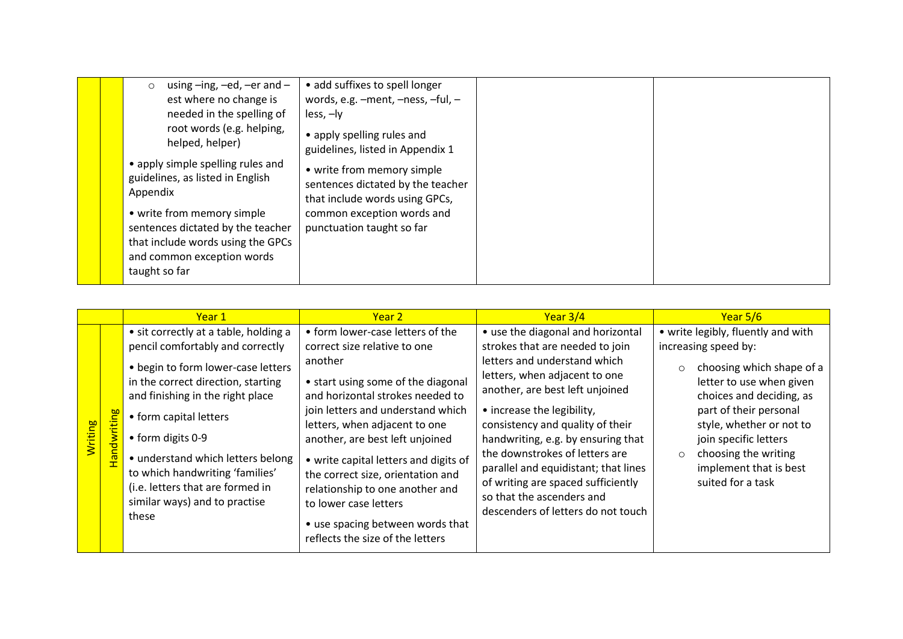|  | using $-$ ing, $-$ ed, $-$ er and $-$<br>$\circ$<br>est where no change is<br>needed in the spelling of<br>root words (e.g. helping,<br>helped, helper)<br>• apply simple spelling rules and<br>guidelines, as listed in English<br>Appendix<br>• write from memory simple<br>sentences dictated by the teacher<br>that include words using the GPCs<br>and common exception words<br>taught so far | • add suffixes to spell longer<br>words, e.g. -ment, -ness, -ful, -<br>$less, -ly$<br>• apply spelling rules and<br>guidelines, listed in Appendix 1<br>• write from memory simple<br>sentences dictated by the teacher<br>that include words using GPCs,<br>common exception words and<br>punctuation taught so far |  |  |
|--|-----------------------------------------------------------------------------------------------------------------------------------------------------------------------------------------------------------------------------------------------------------------------------------------------------------------------------------------------------------------------------------------------------|----------------------------------------------------------------------------------------------------------------------------------------------------------------------------------------------------------------------------------------------------------------------------------------------------------------------|--|--|
|--|-----------------------------------------------------------------------------------------------------------------------------------------------------------------------------------------------------------------------------------------------------------------------------------------------------------------------------------------------------------------------------------------------------|----------------------------------------------------------------------------------------------------------------------------------------------------------------------------------------------------------------------------------------------------------------------------------------------------------------------|--|--|

|                      |                    | Year 1                                                                                                                                                                                                                                                                                                                                                                                                 | Year 2                                                                                                                                                                                                                                                                                                                                                                                                                                                                           | Year $3/4$                                                                                                                                                                                                                                                                                                                                                                                                                                                          | Year 5/6                                                                                                                                                                                                                                                                                                                     |
|----------------------|--------------------|--------------------------------------------------------------------------------------------------------------------------------------------------------------------------------------------------------------------------------------------------------------------------------------------------------------------------------------------------------------------------------------------------------|----------------------------------------------------------------------------------------------------------------------------------------------------------------------------------------------------------------------------------------------------------------------------------------------------------------------------------------------------------------------------------------------------------------------------------------------------------------------------------|---------------------------------------------------------------------------------------------------------------------------------------------------------------------------------------------------------------------------------------------------------------------------------------------------------------------------------------------------------------------------------------------------------------------------------------------------------------------|------------------------------------------------------------------------------------------------------------------------------------------------------------------------------------------------------------------------------------------------------------------------------------------------------------------------------|
| <mark>Writing</mark> | <b>Handwriting</b> | • sit correctly at a table, holding a<br>pencil comfortably and correctly<br>• begin to form lower-case letters<br>in the correct direction, starting<br>and finishing in the right place<br>• form capital letters<br>$\bullet$ form digits 0-9<br>• understand which letters belong<br>to which handwriting 'families'<br>(i.e. letters that are formed in<br>similar ways) and to practise<br>these | • form lower-case letters of the<br>correct size relative to one<br>another<br>• start using some of the diagonal<br>and horizontal strokes needed to<br>join letters and understand which<br>letters, when adjacent to one<br>another, are best left unjoined<br>• write capital letters and digits of<br>the correct size, orientation and<br>relationship to one another and<br>to lower case letters<br>• use spacing between words that<br>reflects the size of the letters | • use the diagonal and horizontal<br>strokes that are needed to join<br>letters and understand which<br>letters, when adjacent to one<br>another, are best left unjoined<br>• increase the legibility,<br>consistency and quality of their<br>handwriting, e.g. by ensuring that<br>the downstrokes of letters are<br>parallel and equidistant; that lines<br>of writing are spaced sufficiently<br>so that the ascenders and<br>descenders of letters do not touch | • write legibly, fluently and with<br>increasing speed by:<br>choosing which shape of a<br>$\Omega$<br>letter to use when given<br>choices and deciding, as<br>part of their personal<br>style, whether or not to<br>join specific letters<br>choosing the writing<br>$\circ$<br>implement that is best<br>suited for a task |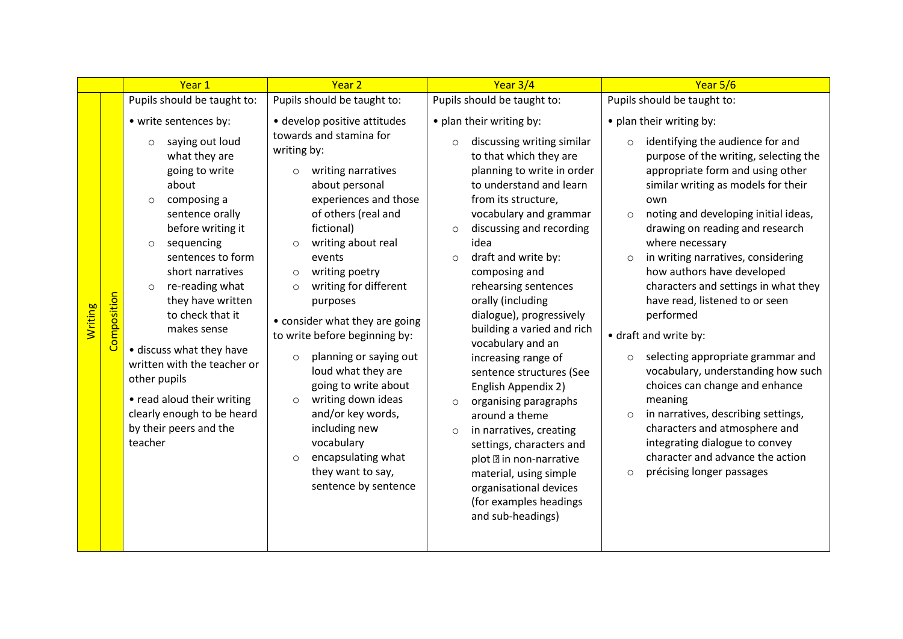|                |             | Year 1                                                                                                                                                                                                                                                                                                                                                                                                                                         | Year <sub>2</sub>                                                                                                                                                                                                                                                                                                                                                                                                                                                                                                                                                              | Year 3/4                                                                                                                                                                                                                                                                                                                                                                                                                                                                                                                                                                                                                                                                                              | Year 5/6                                                                                                                                                                                                                                                                                                                                                                                                                                                                                                                                                                                                                                                                                                                                                 |
|----------------|-------------|------------------------------------------------------------------------------------------------------------------------------------------------------------------------------------------------------------------------------------------------------------------------------------------------------------------------------------------------------------------------------------------------------------------------------------------------|--------------------------------------------------------------------------------------------------------------------------------------------------------------------------------------------------------------------------------------------------------------------------------------------------------------------------------------------------------------------------------------------------------------------------------------------------------------------------------------------------------------------------------------------------------------------------------|-------------------------------------------------------------------------------------------------------------------------------------------------------------------------------------------------------------------------------------------------------------------------------------------------------------------------------------------------------------------------------------------------------------------------------------------------------------------------------------------------------------------------------------------------------------------------------------------------------------------------------------------------------------------------------------------------------|----------------------------------------------------------------------------------------------------------------------------------------------------------------------------------------------------------------------------------------------------------------------------------------------------------------------------------------------------------------------------------------------------------------------------------------------------------------------------------------------------------------------------------------------------------------------------------------------------------------------------------------------------------------------------------------------------------------------------------------------------------|
|                |             | Pupils should be taught to:                                                                                                                                                                                                                                                                                                                                                                                                                    | Pupils should be taught to:                                                                                                                                                                                                                                                                                                                                                                                                                                                                                                                                                    | Pupils should be taught to:                                                                                                                                                                                                                                                                                                                                                                                                                                                                                                                                                                                                                                                                           | Pupils should be taught to:                                                                                                                                                                                                                                                                                                                                                                                                                                                                                                                                                                                                                                                                                                                              |
|                |             | • write sentences by:<br>saying out loud<br>$\circ$                                                                                                                                                                                                                                                                                                                                                                                            | • develop positive attitudes<br>towards and stamina for                                                                                                                                                                                                                                                                                                                                                                                                                                                                                                                        | • plan their writing by:<br>discussing writing similar<br>$\circ$                                                                                                                                                                                                                                                                                                                                                                                                                                                                                                                                                                                                                                     | • plan their writing by:<br>identifying the audience for and<br>$\circ$                                                                                                                                                                                                                                                                                                                                                                                                                                                                                                                                                                                                                                                                                  |
| <b>Writing</b> | Composition | what they are<br>going to write<br>about<br>composing a<br>$\circ$<br>sentence orally<br>before writing it<br>sequencing<br>$\circ$<br>sentences to form<br>short narratives<br>re-reading what<br>$\circ$<br>they have written<br>to check that it<br>makes sense<br>· discuss what they have<br>written with the teacher or<br>other pupils<br>• read aloud their writing<br>clearly enough to be heard<br>by their peers and the<br>teacher | writing by:<br>writing narratives<br>$\circ$<br>about personal<br>experiences and those<br>of others (real and<br>fictional)<br>writing about real<br>$\circ$<br>events<br>writing poetry<br>$\circ$<br>writing for different<br>$\Omega$<br>purposes<br>• consider what they are going<br>to write before beginning by:<br>planning or saying out<br>$\circ$<br>loud what they are<br>going to write about<br>writing down ideas<br>$\circ$<br>and/or key words,<br>including new<br>vocabulary<br>encapsulating what<br>$\circ$<br>they want to say,<br>sentence by sentence | to that which they are<br>planning to write in order<br>to understand and learn<br>from its structure,<br>vocabulary and grammar<br>discussing and recording<br>$\circ$<br>idea<br>draft and write by:<br>$\circ$<br>composing and<br>rehearsing sentences<br>orally (including<br>dialogue), progressively<br>building a varied and rich<br>vocabulary and an<br>increasing range of<br>sentence structures (See<br>English Appendix 2)<br>organising paragraphs<br>$\circ$<br>around a theme<br>in narratives, creating<br>$\circ$<br>settings, characters and<br>plot <b>?</b> in non-narrative<br>material, using simple<br>organisational devices<br>(for examples headings<br>and sub-headings) | purpose of the writing, selecting the<br>appropriate form and using other<br>similar writing as models for their<br>own<br>noting and developing initial ideas,<br>$\circ$<br>drawing on reading and research<br>where necessary<br>in writing narratives, considering<br>$\circ$<br>how authors have developed<br>characters and settings in what they<br>have read, listened to or seen<br>performed<br>• draft and write by:<br>selecting appropriate grammar and<br>vocabulary, understanding how such<br>choices can change and enhance<br>meaning<br>in narratives, describing settings,<br>$\circ$<br>characters and atmosphere and<br>integrating dialogue to convey<br>character and advance the action<br>précising longer passages<br>$\circ$ |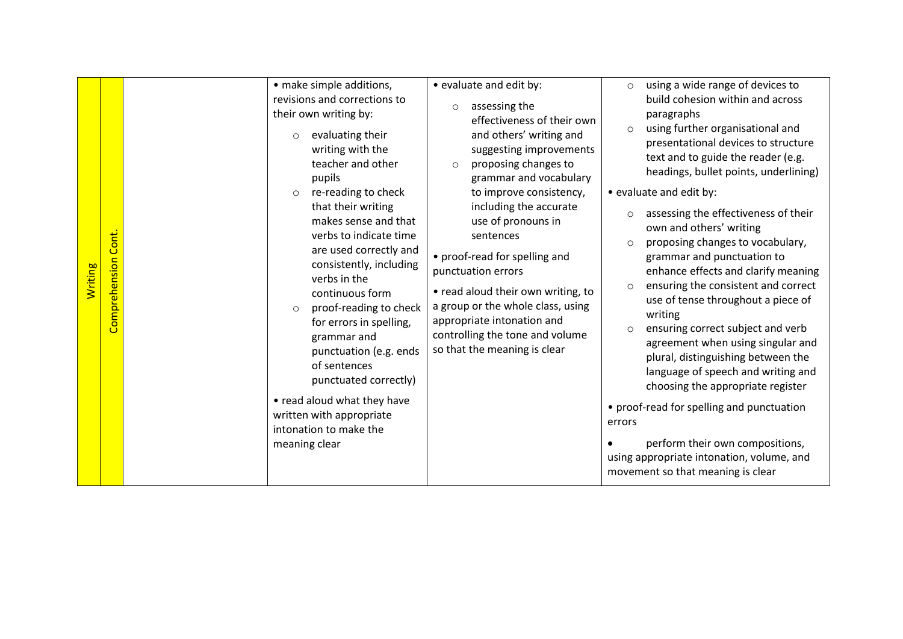|                      |                        | • make simple additions,                                                                                                                                                                                                                                                                                                                                                                                                                                                                                                                                                                          | • evaluate and edit by:                                                                                                                                                                                                                                                                                                                                                                                                                                                                              | using a wide range of devices to<br>$\circ$                                                                                                                                                                                                                                                                                                                                                                                                                                                                                                                                                                                                                                                                                                                                                                                                                                                                                           |
|----------------------|------------------------|---------------------------------------------------------------------------------------------------------------------------------------------------------------------------------------------------------------------------------------------------------------------------------------------------------------------------------------------------------------------------------------------------------------------------------------------------------------------------------------------------------------------------------------------------------------------------------------------------|------------------------------------------------------------------------------------------------------------------------------------------------------------------------------------------------------------------------------------------------------------------------------------------------------------------------------------------------------------------------------------------------------------------------------------------------------------------------------------------------------|---------------------------------------------------------------------------------------------------------------------------------------------------------------------------------------------------------------------------------------------------------------------------------------------------------------------------------------------------------------------------------------------------------------------------------------------------------------------------------------------------------------------------------------------------------------------------------------------------------------------------------------------------------------------------------------------------------------------------------------------------------------------------------------------------------------------------------------------------------------------------------------------------------------------------------------|
| <mark>Writing</mark> | Cont.<br>Comprehension | revisions and corrections to<br>their own writing by:<br>evaluating their<br>$\circ$<br>writing with the<br>teacher and other<br>pupils<br>re-reading to check<br>$\circ$<br>that their writing<br>makes sense and that<br>verbs to indicate time<br>are used correctly and<br>consistently, including<br>verbs in the<br>continuous form<br>proof-reading to check<br>$\circ$<br>for errors in spelling,<br>grammar and<br>punctuation (e.g. ends<br>of sentences<br>punctuated correctly)<br>• read aloud what they have<br>written with appropriate<br>intonation to make the<br>meaning clear | assessing the<br>$\circ$<br>effectiveness of their own<br>and others' writing and<br>suggesting improvements<br>proposing changes to<br>$\circ$<br>grammar and vocabulary<br>to improve consistency,<br>including the accurate<br>use of pronouns in<br>sentences<br>• proof-read for spelling and<br>punctuation errors<br>• read aloud their own writing, to<br>a group or the whole class, using<br>appropriate intonation and<br>controlling the tone and volume<br>so that the meaning is clear | build cohesion within and across<br>paragraphs<br>using further organisational and<br>$\circ$<br>presentational devices to structure<br>text and to guide the reader (e.g.<br>headings, bullet points, underlining)<br>• evaluate and edit by:<br>assessing the effectiveness of their<br>$\circ$<br>own and others' writing<br>proposing changes to vocabulary,<br>$\circ$<br>grammar and punctuation to<br>enhance effects and clarify meaning<br>ensuring the consistent and correct<br>$\circ$<br>use of tense throughout a piece of<br>writing<br>ensuring correct subject and verb<br>$\circ$<br>agreement when using singular and<br>plural, distinguishing between the<br>language of speech and writing and<br>choosing the appropriate register<br>• proof-read for spelling and punctuation<br>errors<br>perform their own compositions,<br>using appropriate intonation, volume, and<br>movement so that meaning is clear |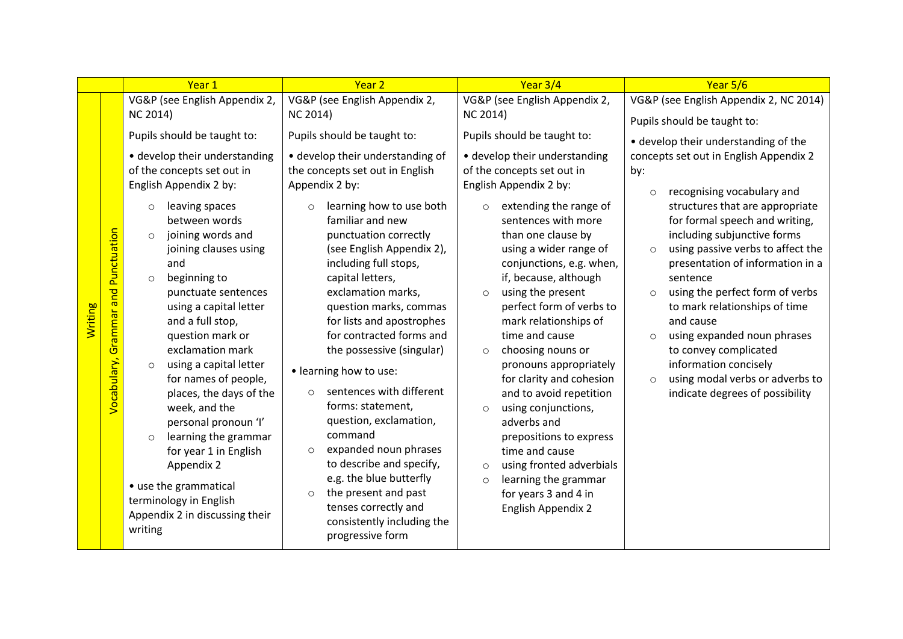|                |                                               | Year 1                                                                                                                                                                                                                                                                                                                                                                                                                                                                                   | Year <sub>2</sub>                                                                                                                                                                                                                                                                                                                                                                                                                                                                                                      | Year 3/4                                                                                                                                                                                                                                                                                                                                                                                                                                                                                                                                           | Year 5/6                                                                                                                                                                                                                                                                                                                                                                                                                                                                                                                                                                                           |
|----------------|-----------------------------------------------|------------------------------------------------------------------------------------------------------------------------------------------------------------------------------------------------------------------------------------------------------------------------------------------------------------------------------------------------------------------------------------------------------------------------------------------------------------------------------------------|------------------------------------------------------------------------------------------------------------------------------------------------------------------------------------------------------------------------------------------------------------------------------------------------------------------------------------------------------------------------------------------------------------------------------------------------------------------------------------------------------------------------|----------------------------------------------------------------------------------------------------------------------------------------------------------------------------------------------------------------------------------------------------------------------------------------------------------------------------------------------------------------------------------------------------------------------------------------------------------------------------------------------------------------------------------------------------|----------------------------------------------------------------------------------------------------------------------------------------------------------------------------------------------------------------------------------------------------------------------------------------------------------------------------------------------------------------------------------------------------------------------------------------------------------------------------------------------------------------------------------------------------------------------------------------------------|
|                |                                               | VG&P (see English Appendix 2,                                                                                                                                                                                                                                                                                                                                                                                                                                                            | VG&P (see English Appendix 2,                                                                                                                                                                                                                                                                                                                                                                                                                                                                                          | VG&P (see English Appendix 2,                                                                                                                                                                                                                                                                                                                                                                                                                                                                                                                      | VG&P (see English Appendix 2, NC 2014)                                                                                                                                                                                                                                                                                                                                                                                                                                                                                                                                                             |
|                |                                               |                                                                                                                                                                                                                                                                                                                                                                                                                                                                                          |                                                                                                                                                                                                                                                                                                                                                                                                                                                                                                                        |                                                                                                                                                                                                                                                                                                                                                                                                                                                                                                                                                    |                                                                                                                                                                                                                                                                                                                                                                                                                                                                                                                                                                                                    |
|                |                                               | Pupils should be taught to:                                                                                                                                                                                                                                                                                                                                                                                                                                                              | Pupils should be taught to:                                                                                                                                                                                                                                                                                                                                                                                                                                                                                            | Pupils should be taught to:                                                                                                                                                                                                                                                                                                                                                                                                                                                                                                                        | • develop their understanding of the                                                                                                                                                                                                                                                                                                                                                                                                                                                                                                                                                               |
| <b>Writing</b> | <b>Grammar and Punctuation</b><br>Vocabulary, | NC 2014)<br>• develop their understanding<br>of the concepts set out in<br>English Appendix 2 by:<br>leaving spaces<br>$\circ$<br>between words<br>joining words and<br>$\circ$<br>joining clauses using<br>and<br>beginning to<br>$\circ$<br>punctuate sentences<br>using a capital letter<br>and a full stop,<br>question mark or<br>exclamation mark<br>using a capital letter<br>$\circ$<br>for names of people,<br>places, the days of the<br>week, and the<br>personal pronoun 'l' | NC 2014)<br>• develop their understanding of<br>the concepts set out in English<br>Appendix 2 by:<br>learning how to use both<br>$\circ$<br>familiar and new<br>punctuation correctly<br>(see English Appendix 2),<br>including full stops,<br>capital letters,<br>exclamation marks,<br>question marks, commas<br>for lists and apostrophes<br>for contracted forms and<br>the possessive (singular)<br>• learning how to use:<br>sentences with different<br>$\Omega$<br>forms: statement,<br>question, exclamation, | <b>NC 2014)</b><br>• develop their understanding<br>of the concepts set out in<br>English Appendix 2 by:<br>extending the range of<br>$\circ$<br>sentences with more<br>than one clause by<br>using a wider range of<br>conjunctions, e.g. when,<br>if, because, although<br>using the present<br>$\circ$<br>perfect form of verbs to<br>mark relationships of<br>time and cause<br>choosing nouns or<br>$\circ$<br>pronouns appropriately<br>for clarity and cohesion<br>and to avoid repetition<br>using conjunctions,<br>$\circ$<br>adverbs and | Pupils should be taught to:<br>concepts set out in English Appendix 2<br>by:<br>recognising vocabulary and<br>$\circ$<br>structures that are appropriate<br>for formal speech and writing,<br>including subjunctive forms<br>using passive verbs to affect the<br>$\circ$<br>presentation of information in a<br>sentence<br>using the perfect form of verbs<br>$\circ$<br>to mark relationships of time<br>and cause<br>using expanded noun phrases<br>$\circ$<br>to convey complicated<br>information concisely<br>using modal verbs or adverbs to<br>$\circ$<br>indicate degrees of possibility |
|                |                                               | learning the grammar<br>$\circ$<br>for year 1 in English<br>Appendix 2<br>• use the grammatical<br>terminology in English<br>Appendix 2 in discussing their<br>writing                                                                                                                                                                                                                                                                                                                   | command<br>expanded noun phrases<br>$\circ$<br>to describe and specify,<br>e.g. the blue butterfly<br>the present and past<br>$\circ$<br>tenses correctly and<br>consistently including the<br>progressive form                                                                                                                                                                                                                                                                                                        | prepositions to express<br>time and cause<br>using fronted adverbials<br>$\circ$<br>learning the grammar<br>$\circ$<br>for years 3 and 4 in<br><b>English Appendix 2</b>                                                                                                                                                                                                                                                                                                                                                                           |                                                                                                                                                                                                                                                                                                                                                                                                                                                                                                                                                                                                    |